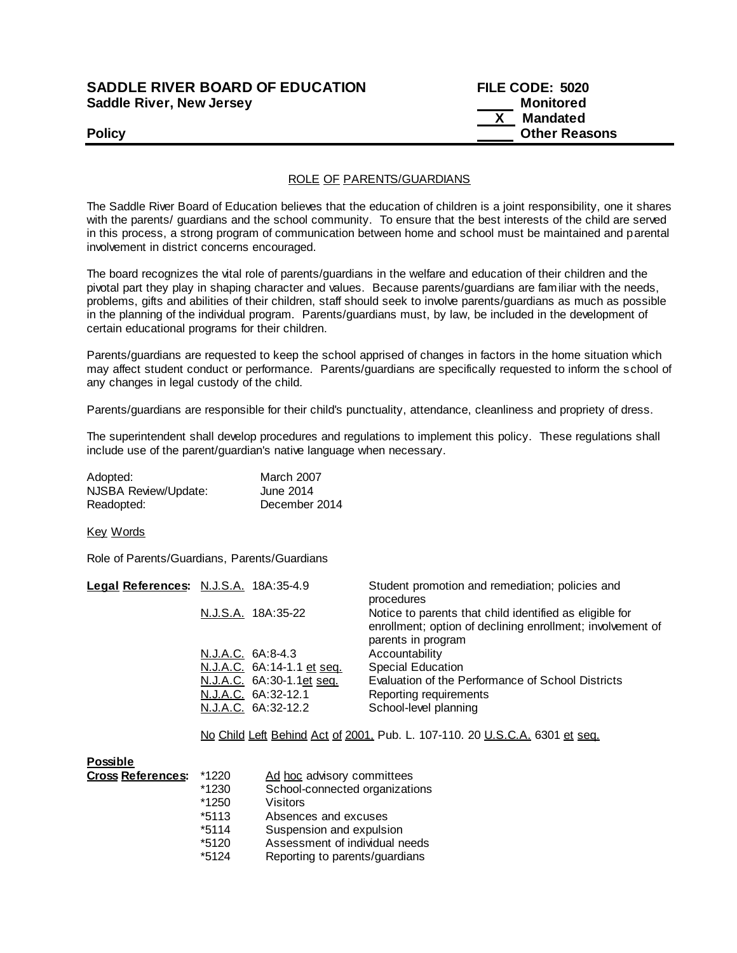## **SADDLE RIVER BOARD OF EDUCATION Saddle River, New Jersey**

| <b>SADDLE RIVER BOARD OF EDUCATION</b> | FILE CODE: 5020      |
|----------------------------------------|----------------------|
| Saddle River, New Jersey               | Monitored            |
|                                        | Mandated             |
| <b>Policy</b>                          | <b>Other Reasons</b> |

## ROLE OF PARENTS/GUARDIANS

The Saddle River Board of Education believes that the education of children is a joint responsibility, one it shares with the parents/ guardians and the school community. To ensure that the best interests of the child are served in this process, a strong program of communication between home and school must be maintained and parental involvement in district concerns encouraged.

The board recognizes the vital role of parents/guardians in the welfare and education of their children and the pivotal part they play in shaping character and values. Because parents/guardians are familiar with the needs, problems, gifts and abilities of their children, staff should seek to involve parents/guardians as much as possible in the planning of the individual program. Parents/guardians must, by law, be included in the development of certain educational programs for their children.

Parents/guardians are requested to keep the school apprised of changes in factors in the home situation which may affect student conduct or performance. Parents/guardians are specifically requested to inform the s chool of any changes in legal custody of the child.

Parents/guardians are responsible for their child's punctuality, attendance, cleanliness and propriety of dress.

The superintendent shall develop procedures and regulations to implement this policy. These regulations shall include use of the parent/guardian's native language when necessary.

| Adopted:             | <b>March 2007</b> |
|----------------------|-------------------|
| NJSBA Review/Update: | June 2014         |
| Readopted:           | December 2014     |

Key Words

Role of Parents/Guardians, Parents/Guardians

| Legal References: N.J.S.A. 18A:35-4.9 | Student promotion and remediation; policies and<br>procedures                                                                               |
|---------------------------------------|---------------------------------------------------------------------------------------------------------------------------------------------|
| N.J.S.A. 18A:35-22                    | Notice to parents that child identified as eligible for<br>enrollment; option of declining enrollment; involvement of<br>parents in program |
| N.J.A.C. 6A:8-4.3                     | Accountability                                                                                                                              |
| N.J.A.C. 6A:14-1.1 et seq.            | <b>Special Education</b>                                                                                                                    |
| N.J.A.C. 6A:30-1.1et seq.             | Evaluation of the Performance of School Districts                                                                                           |
| N.J.A.C. 6A:32-12.1                   | Reporting requirements                                                                                                                      |
| N.J.A.C. 6A:32-12.2                   | School-level planning                                                                                                                       |
|                                       |                                                                                                                                             |

No Child Left Behind Act of 2001, Pub. L. 107-110. 20 U.S.C.A. 6301 et seq.

| <b>Possible</b>          |         |                                |
|--------------------------|---------|--------------------------------|
| <b>Cross References:</b> | *1220   | Ad hoc advisory committees     |
|                          | $*1230$ | School-connected organizations |
|                          | $*1250$ | Visitors                       |
|                          | $*5113$ | Absences and excuses           |
|                          | $*5114$ | Suspension and expulsion       |
|                          | *5120   | Assessment of individual needs |
|                          | $*5124$ | Reporting to parents/guardians |